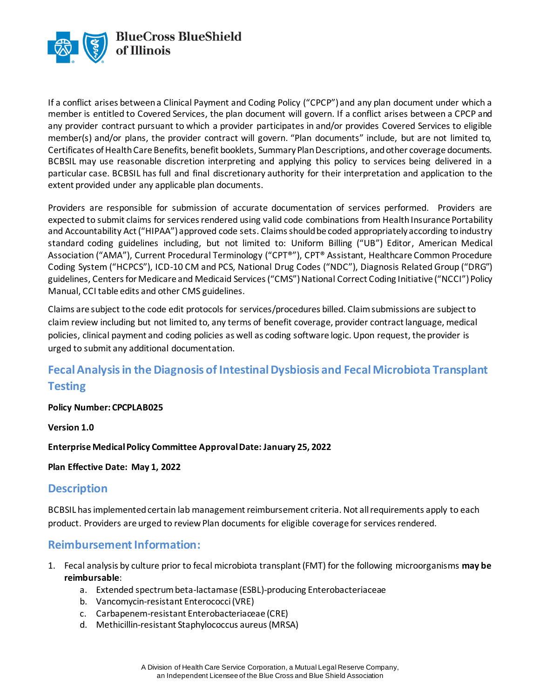

If a conflict arises between a Clinical Payment and Coding Policy ("CPCP") and any plan document under which a member is entitled to Covered Services, the plan document will govern. If a conflict arises between a CPCP and any provider contract pursuant to which a provider participates in and/or provides Covered Services to eligible member(s) and/or plans, the provider contract will govern. "Plan documents" include, but are not limited to, Certificates of Health Care Benefits, benefit booklets, Summary Plan Descriptions, and other coverage documents. BCBSIL may use reasonable discretion interpreting and applying this policy to services being delivered in a particular case. BCBSIL has full and final discretionary authority for their interpretation and application to the extent provided under any applicable plan documents.

Providers are responsible for submission of accurate documentation of services performed. Providers are expected to submit claims for services rendered using valid code combinations from Health Insurance Portability and Accountability Act ("HIPAA") approved code sets. Claims should be coded appropriately according to industry standard coding guidelines including, but not limited to: Uniform Billing ("UB") Editor, American Medical Association ("AMA"), Current Procedural Terminology ("CPT®"), CPT® Assistant, Healthcare Common Procedure Coding System ("HCPCS"), ICD-10 CM and PCS, National Drug Codes ("NDC"), Diagnosis Related Group ("DRG") guidelines, Centers for Medicare and Medicaid Services ("CMS") National Correct Coding Initiative ("NCCI") Policy Manual, CCI table edits and other CMS guidelines.

Claims are subject to the code edit protocols for services/procedures billed. Claim submissions are subject to claim review including but not limited to, any terms of benefit coverage, provider contract language, medical policies, clinical payment and coding policies as well as coding software logic. Upon request, the provider is urged to submit any additional documentation.

# **Fecal Analysis in the Diagnosis of Intestinal Dysbiosis and Fecal Microbiota Transplant Testing**

**Policy Number: CPCPLAB025**

**Version 1.0** 

**Enterprise MedicalPolicy Committee Approval Date: January 25, 2022**

**Plan Effective Date: May 1, 2022**

#### **Description**

BCBSIL has implemented certain lab management reimbursement criteria. Not all requirements apply to each product. Providers are urged to review Plan documents for eligible coverage for services rendered.

## **Reimbursement Information:**

- 1. Fecal analysis by culture prior to fecal microbiota transplant (FMT) for the following microorganisms **may be reimbursable**:
	- a. Extended spectrum beta-lactamase (ESBL)-producing Enterobacteriaceae
	- b. Vancomycin-resistant Enterococci (VRE)
	- c. Carbapenem-resistant Enterobacteriaceae (CRE)
	- d. Methicillin-resistant Staphylococcus aureus (MRSA)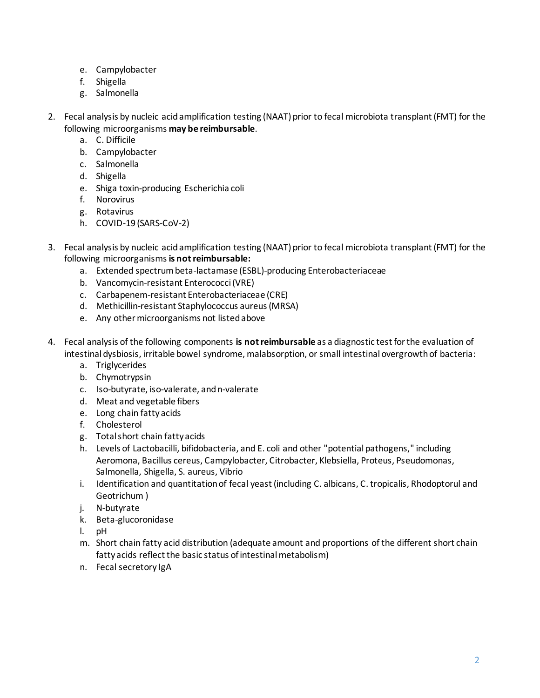- e. Campylobacter
- f. Shigella
- g. Salmonella
- 2. Fecal analysis by nucleic acid amplification testing (NAAT) prior to fecal microbiota transplant (FMT) for the following microorganisms **may be reimbursable**.
	- a. C. Difficile
	- b. Campylobacter
	- c. Salmonella
	- d. Shigella
	- e. Shiga toxin-producing Escherichia coli
	- f. Norovirus
	- g. Rotavirus
	- h. COVID-19 (SARS-CoV-2)
- 3. Fecal analysis by nucleic acid amplification testing (NAAT) prior to fecal microbiota transplant (FMT) for the following microorganisms **is not reimbursable:**
	- a. Extended spectrum beta-lactamase (ESBL)-producing Enterobacteriaceae
	- b. Vancomycin-resistant Enterococci (VRE)
	- c. Carbapenem-resistant Enterobacteriaceae (CRE)
	- d. Methicillin-resistant Staphylococcus aureus (MRSA)
	- e. Any other microorganisms not listed above
- 4. Fecal analysis of the following components **is not reimbursable** as a diagnostic test for the evaluation of intestinal dysbiosis, irritable bowel syndrome, malabsorption, or small intestinal overgrowth of bacteria:
	- a. Triglycerides
	- b. Chymotrypsin
	- c. Iso-butyrate, iso-valerate, and n-valerate
	- d. Meat and vegetable fibers
	- e. Long chain fatty acids
	- f. Cholesterol
	- g. Total short chain fatty acids
	- h. Levels of Lactobacilli, bifidobacteria, and E. coli and other "potential pathogens," including Aeromona, Bacillus cereus, Campylobacter, Citrobacter, Klebsiella, Proteus, Pseudomonas, Salmonella, Shigella, S. aureus, Vibrio
	- i. Identification and quantitation of fecal yeast (including C. albicans, C. tropicalis, Rhodoptorul and Geotrichum )
	- j. N-butyrate
	- k. Beta-glucoronidase
	- l. pH
	- m. Short chain fatty acid distribution (adequate amount and proportions of the different short chain fatty acids reflect the basic status of intestinal metabolism)
	- n. Fecal secretory IgA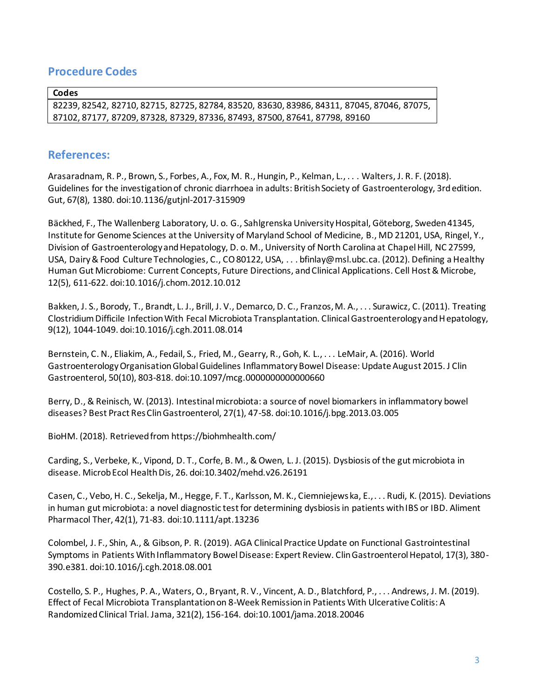### **Procedure Codes**

**Codes**

82239, 82542, 82710, 82715, 82725, 82784, 83520, 83630, 83986, 84311, 87045, 87046, 87075, 87102, 87177, 87209, 87328, 87329, 87336, 87493, 87500, 87641, 87798, 89160

#### **References:**

Arasaradnam, R. P., Brown, S., Forbes, A., Fox, M. R., Hungin, P., Kelman, L., . . . Walters, J. R. F. (2018). Guidelines for the investigation of chronic diarrhoea in adults: British Society of Gastroenterology, 3rd edition. Gut, 67(8), 1380. doi:10.1136/gutjnl-2017-315909

Bäckhed, F., The Wallenberg Laboratory, U. o. G., Sahlgrenska University Hospital, Göteborg, Sweden 41345, Institute for Genome Sciences at the University of Maryland School of Medicine, B., MD 21201, USA, Ringel, Y., Division of Gastroenterology and Hepatology, D. o. M., University of North Carolina at Chapel Hill, NC 27599, USA, Dairy & Food Culture Technologies, C., CO 80122, USA, . . . bfinlay@msl.ubc.ca. (2012). Defining a Healthy Human Gut Microbiome: Current Concepts, Future Directions, and Clinical Applications. Cell Host & Microbe, 12(5), 611-622. doi:10.1016/j.chom.2012.10.012

Bakken, J. S., Borody, T., Brandt, L. J., Brill, J. V., Demarco, D. C., Franzos, M. A., . . . Surawicz, C. (2011). Treating Clostridium Difficile Infection With Fecal Microbiota Transplantation. Clinical Gastroenterology and Hepatology, 9(12), 1044-1049. doi:10.1016/j.cgh.2011.08.014

Bernstein, C. N., Eliakim, A., Fedail, S., Fried, M., Gearry, R., Goh, K. L., . . . LeMair, A. (2016). World Gastroenterology Organisation Global Guidelines Inflammatory Bowel Disease: Update August 2015. J Clin Gastroenterol, 50(10), 803-818. doi:10.1097/mcg.0000000000000660

Berry, D., & Reinisch, W. (2013). Intestinal microbiota: a source of novel biomarkers in inflammatory bowel diseases? Best Pract Res Clin Gastroenterol, 27(1), 47-58. doi:10.1016/j.bpg.2013.03.005

BioHM. (2018). Retrieved from https://biohmhealth.com/

Carding, S., Verbeke, K., Vipond, D. T., Corfe, B. M., & Owen, L. J. (2015). Dysbiosis of the gut microbiota in disease. Microb Ecol Health Dis, 26. doi:10.3402/mehd.v26.26191

Casen, C., Vebo, H. C., Sekelja, M., Hegge, F. T., Karlsson, M. K., Ciemniejewska, E., . . . Rudi, K. (2015). Deviations in human gut microbiota: a novel diagnostic test for determining dysbiosis in patients with IBS or IBD. Aliment Pharmacol Ther, 42(1), 71-83. doi:10.1111/apt.13236

Colombel, J. F., Shin, A., & Gibson, P. R. (2019). AGA Clinical Practice Update on Functional Gastrointestinal Symptoms in Patients With Inflammatory Bowel Disease: Expert Review. Clin Gastroenterol Hepatol, 17(3), 380- 390.e381. doi:10.1016/j.cgh.2018.08.001

Costello, S. P., Hughes, P. A., Waters, O., Bryant, R. V., Vincent, A. D., Blatchford, P., . . . Andrews, J. M. (2019). Effect of Fecal Microbiota Transplantation on 8-Week Remission in Patients With Ulcerative Colitis: A Randomized Clinical Trial. Jama, 321(2), 156-164. doi:10.1001/jama.2018.20046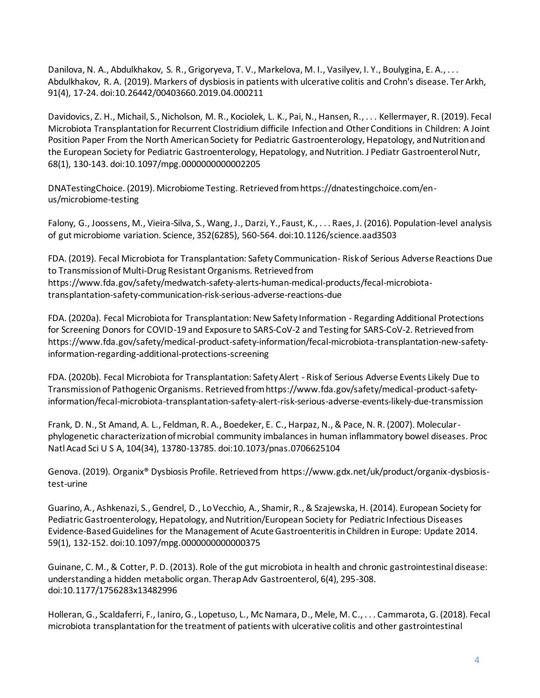Danilova, N. A., Abdulkhakov, S. R., Grigoryeva, T. V., Markelova, M. I., Vasilyev, I. Y., Boulygina, E. A., . . . Abdulkhakov, R. A. (2019). Markers of dysbiosis in patients with ulcerative colitis and Crohn's disease. Ter Arkh, 91(4), 17-24. doi:10.26442/00403660.2019.04.000211

Davidovics, Z. H., Michail, S., Nicholson, M. R., Kociolek, L. K., Pai, N., Hansen, R., . . . Kellermayer, R. (2019). Fecal Microbiota Transplantation for Recurrent Clostridium difficile Infection and Other Conditions in Children: A Joint Position Paper From the North American Society for Pediatric Gastroenterology, Hepatology, and Nutrition and the European Society for Pediatric Gastroenterology, Hepatology, and Nutrition. J Pediatr Gastroenterol Nutr, 68(1), 130-143. doi:10.1097/mpg.0000000000002205

DNATestingChoice. (2019). Microbiome Testing. Retrieved from https://dnatestingchoice.com/enus/microbiome-testing

Falony, G., Joossens, M., Vieira-Silva, S., Wang, J., Darzi, Y., Faust, K., . . . Raes, J. (2016). Population-level analysis of gut microbiome variation. Science, 352(6285), 560-564. doi:10.1126/science.aad3503

FDA. (2019). Fecal Microbiota for Transplantation: Safety Communication- Risk of Serious Adverse Reactions Due to Transmission of Multi-Drug Resistant Organisms. Retrieved from https://www.fda.gov/safety/medwatch-safety-alerts-human-medical-products/fecal-microbiotatransplantation-safety-communication-risk-serious-adverse-reactions-due

FDA. (2020a). Fecal Microbiota for Transplantation: New Safety Information - Regarding Additional Protections for Screening Donors for COVID-19 and Exposure to SARS-CoV-2 and Testing for SARS-CoV-2. Retrieved from https://www.fda.gov/safety/medical-product-safety-information/fecal-microbiota-transplantation-new-safetyinformation-regarding-additional-protections-screening

FDA. (2020b). Fecal Microbiota for Transplantation: Safety Alert - Risk of Serious Adverse Events Likely Due to Transmission of Pathogenic Organisms. Retrieved from https://www.fda.gov/safety/medical-product-safetyinformation/fecal-microbiota-transplantation-safety-alert-risk-serious-adverse-events-likely-due-transmission

Frank, D. N., St Amand, A. L., Feldman, R. A., Boedeker, E. C., Harpaz, N., & Pace, N. R. (2007). Molecularphylogenetic characterization of microbial community imbalances in human inflammatory bowel diseases. Proc Natl Acad Sci U S A, 104(34), 13780-13785. doi:10.1073/pnas.0706625104

Genova. (2019). Organix® Dysbiosis Profile. Retrieved from https://www.gdx.net/uk/product/organix-dysbiosistest-urine

Guarino, A., Ashkenazi, S., Gendrel, D., Lo Vecchio, A., Shamir, R., & Szajewska, H. (2014). European Society for Pediatric Gastroenterology, Hepatology, and Nutrition/European Society for Pediatric Infectious Diseases Evidence-Based Guidelines for the Management of Acute Gastroenteritis in Children in Europe: Update 2014. 59(1), 132-152. doi:10.1097/mpg.0000000000000375

Guinane, C. M., & Cotter, P. D. (2013). Role of the gut microbiota in health and chronic gastrointestinal disease: understanding a hidden metabolic organ. Therap Adv Gastroenterol, 6(4), 295-308. doi:10.1177/1756283x13482996

Holleran, G., Scaldaferri, F., Ianiro, G., Lopetuso, L., Mc Namara, D., Mele, M. C., . . . Cammarota, G. (2018). Fecal microbiota transplantation for the treatment of patients with ulcerative colitis and other gastrointestinal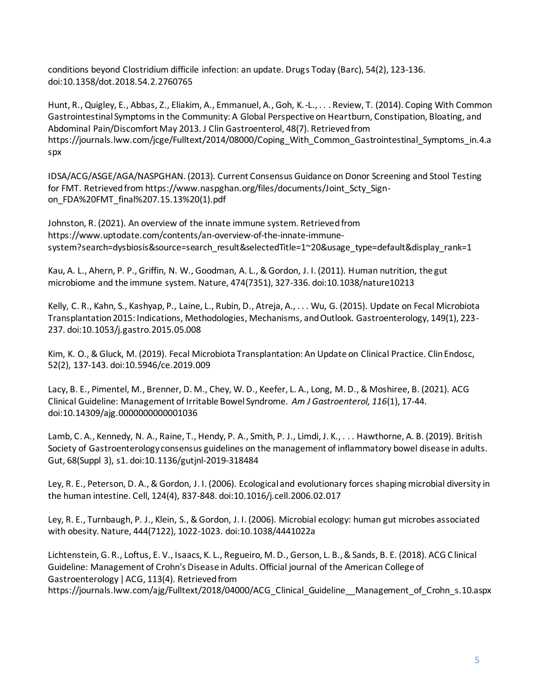conditions beyond Clostridium difficile infection: an update. Drugs Today (Barc), 54(2), 123-136. doi:10.1358/dot.2018.54.2.2760765

Hunt, R., Quigley, E., Abbas, Z., Eliakim, A., Emmanuel, A., Goh, K.-L., . . . Review, T. (2014). Coping With Common Gastrointestinal Symptoms in the Community: A Global Perspective on Heartburn, Constipation, Bloating, and Abdominal Pain/Discomfort May 2013. J Clin Gastroenterol, 48(7). Retrieved from https://journals.lww.com/jcge/Fulltext/2014/08000/Coping\_With\_Common\_Gastrointestinal\_Symptoms\_in.4.a spx

IDSA/ACG/ASGE/AGA/NASPGHAN. (2013). Current Consensus Guidance on Donor Screening and Stool Testing for FMT. Retrieved from https://www.naspghan.org/files/documents/Joint\_Scty\_Signon\_FDA%20FMT\_final%207.15.13%20(1).pdf

Johnston, R. (2021). An overview of the innate immune system. Retrieved from https://www.uptodate.com/contents/an-overview-of-the-innate-immunesystem?search=dysbiosis&source=search\_result&selectedTitle=1~20&usage\_type=default&display\_rank=1

Kau, A. L., Ahern, P. P., Griffin, N. W., Goodman, A. L., & Gordon, J. I. (2011). Human nutrition, the gut microbiome and the immune system. Nature, 474(7351), 327-336. doi:10.1038/nature10213

Kelly, C. R., Kahn, S., Kashyap, P., Laine, L., Rubin, D., Atreja, A., . . . Wu, G. (2015). Update on Fecal Microbiota Transplantation 2015: Indications, Methodologies, Mechanisms, and Outlook. Gastroenterology, 149(1), 223- 237. doi:10.1053/j.gastro.2015.05.008

Kim, K. O., & Gluck, M. (2019). Fecal Microbiota Transplantation: An Update on Clinical Practice. Clin Endosc, 52(2), 137-143. doi:10.5946/ce.2019.009

Lacy, B. E., Pimentel, M., Brenner, D. M., Chey, W. D., Keefer, L. A., Long, M. D., & Moshiree, B. (2021). ACG Clinical Guideline: Management of Irritable Bowel Syndrome. *Am J Gastroenterol, 116*(1), 17-44. doi:10.14309/ajg.0000000000001036

Lamb, C. A., Kennedy, N. A., Raine, T., Hendy, P. A., Smith, P. J., Limdi, J. K., . . . Hawthorne, A. B. (2019). British Society of Gastroenterology consensus guidelines on the management of inflammatory bowel disease in adults. Gut, 68(Suppl 3), s1. doi:10.1136/gutjnl-2019-318484

Ley, R. E., Peterson, D. A., & Gordon, J. I. (2006). Ecological and evolutionary forces shaping microbial diversity in the human intestine. Cell, 124(4), 837-848. doi:10.1016/j.cell.2006.02.017

Ley, R. E., Turnbaugh, P. J., Klein, S., & Gordon, J. I. (2006). Microbial ecology: human gut microbes associated with obesity. Nature, 444(7122), 1022-1023. doi:10.1038/4441022a

Lichtenstein, G. R., Loftus, E. V., Isaacs, K. L., Regueiro, M. D., Gerson, L. B., & Sands, B. E. (2018). ACG C linical Guideline: Management of Crohn's Disease in Adults. Official journal of the American College of Gastroenterology | ACG, 113(4). Retrieved from https://journals.lww.com/ajg/Fulltext/2018/04000/ACG\_Clinical\_Guideline\_\_Management\_of\_Crohn\_s.10.aspx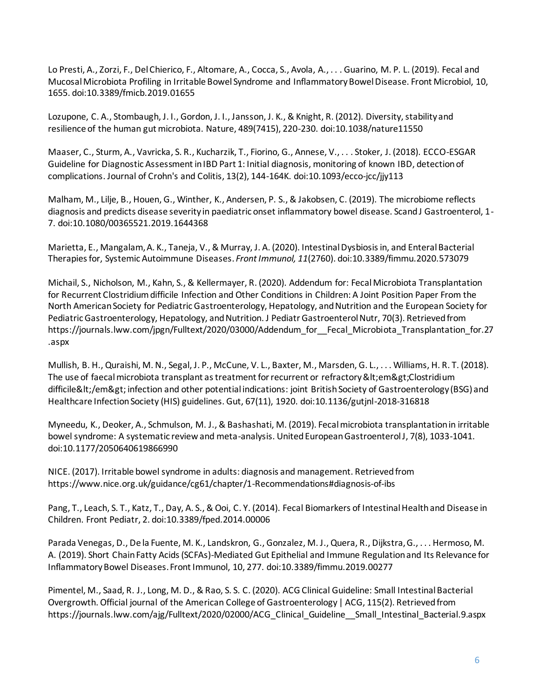Lo Presti, A., Zorzi, F., Del Chierico, F., Altomare, A., Cocca, S., Avola, A., . . . Guarino, M. P. L. (2019). Fecal and Mucosal Microbiota Profiling in Irritable Bowel Syndrome and Inflammatory Bowel Disease. Front Microbiol, 10, 1655. doi:10.3389/fmicb.2019.01655

Lozupone, C. A., Stombaugh, J. I., Gordon, J. I., Jansson, J. K., & Knight, R. (2012). Diversity, stability and resilience of the human gut microbiota. Nature, 489(7415), 220-230. doi:10.1038/nature11550

Maaser, C., Sturm, A., Vavricka, S. R., Kucharzik, T., Fiorino, G., Annese, V., . . . Stoker, J. (2018). ECCO-ESGAR Guideline for Diagnostic Assessment in IBD Part 1: Initial diagnosis, monitoring of known IBD, detection of complications. Journal of Crohn's and Colitis, 13(2), 144-164K. doi:10.1093/ecco-jcc/jjy113

Malham, M., Lilje, B., Houen, G., Winther, K., Andersen, P. S., & Jakobsen, C. (2019). The microbiome reflects diagnosis and predicts disease severity in paediatric onset inflammatory bowel disease. Scand J Gastroenterol, 1- 7. doi:10.1080/00365521.2019.1644368

Marietta, E., Mangalam, A. K., Taneja, V., & Murray, J. A. (2020). Intestinal Dysbiosis in, and Enteral Bacterial Therapies for, Systemic Autoimmune Diseases. *Front Immunol, 11*(2760). doi:10.3389/fimmu.2020.573079

Michail, S., Nicholson, M., Kahn, S., & Kellermayer, R. (2020). Addendum for: Fecal Microbiota Transplantation for Recurrent Clostridium difficile Infection and Other Conditions in Children: A Joint Position Paper From the North American Society for Pediatric Gastroenterology, Hepatology, and Nutrition and the European Society for Pediatric Gastroenterology, Hepatology, and Nutrition. J Pediatr Gastroenterol Nutr, 70(3). Retrieved from https://journals.lww.com/jpgn/Fulltext/2020/03000/Addendum\_for\_Fecal\_Microbiota\_Transplantation\_for.27 .aspx

Mullish, B. H., Quraishi, M. N., Segal, J. P., McCune, V. L., Baxter, M., Marsden, G. L., . . . Williams, H. R. T. (2018). The use of faecal microbiota transplant as treatment for recurrent or refractory &It;em>Clostridium difficile</em&gt; infection and other potential indications: joint British Society of Gastroenterology (BSG) and Healthcare Infection Society (HIS) guidelines. Gut, 67(11), 1920. doi:10.1136/gutjnl-2018-316818

Myneedu, K., Deoker, A., Schmulson, M. J., & Bashashati, M. (2019). Fecal microbiota transplantation in irritable bowel syndrome: A systematic review and meta-analysis. United European Gastroenterol J, 7(8), 1033-1041. doi:10.1177/2050640619866990

NICE. (2017). Irritable bowel syndrome in adults: diagnosis and management. Retrieved from https://www.nice.org.uk/guidance/cg61/chapter/1-Recommendations#diagnosis-of-ibs

Pang, T., Leach, S. T., Katz, T., Day, A. S., & Ooi, C. Y. (2014). Fecal Biomarkers of Intestinal Health and Disease in Children. Front Pediatr, 2. doi:10.3389/fped.2014.00006

Parada Venegas, D., De la Fuente, M. K., Landskron, G., Gonzalez, M. J., Quera, R., Dijkstra, G., . . . Hermoso, M. A. (2019). Short Chain Fatty Acids (SCFAs)-Mediated Gut Epithelial and Immune Regulation and Its Relevance for Inflammatory Bowel Diseases. Front Immunol, 10, 277. doi:10.3389/fimmu.2019.00277

Pimentel, M., Saad, R. J., Long, M. D., & Rao, S. S. C. (2020). ACG Clinical Guideline: Small Intestinal Bacterial Overgrowth. Official journal of the American College of Gastroenterology | ACG, 115(2). Retrieved from https://journals.lww.com/ajg/Fulltext/2020/02000/ACG Clinical Guideline Small Intestinal Bacterial.9.aspx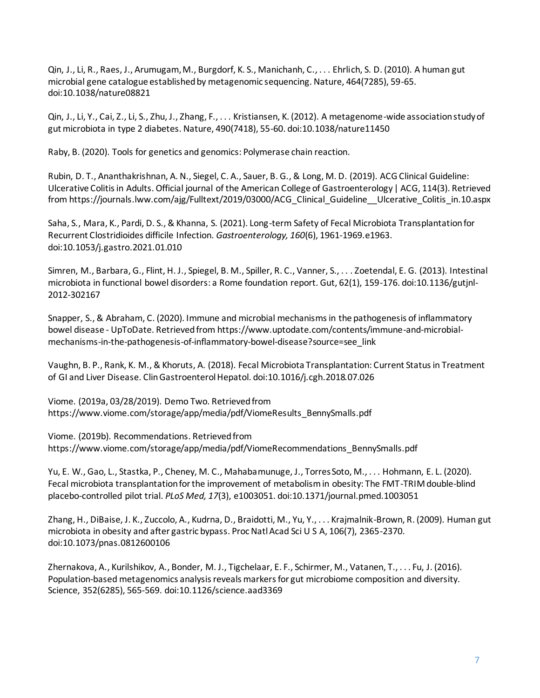Qin, J., Li, R., Raes, J., Arumugam, M., Burgdorf, K. S., Manichanh, C., . . . Ehrlich, S. D. (2010). A human gut microbial gene catalogue established by metagenomic sequencing. Nature, 464(7285), 59-65. doi:10.1038/nature08821

Qin, J., Li, Y., Cai, Z., Li, S., Zhu, J., Zhang, F., . . . Kristiansen, K. (2012). A metagenome-wide association study of gut microbiota in type 2 diabetes. Nature, 490(7418), 55-60. doi:10.1038/nature11450

Raby, B. (2020). Tools for genetics and genomics: Polymerase chain reaction.

Rubin, D. T., Ananthakrishnan, A. N., Siegel, C. A., Sauer, B. G., & Long, M. D. (2019). ACG Clinical Guideline: Ulcerative Colitis in Adults. Official journal of the American College of Gastroenterology | ACG, 114(3). Retrieved from https://journals.lww.com/ajg/Fulltext/2019/03000/ACG\_Clinical\_Guideline\_\_Ulcerative\_Colitis\_in.10.aspx

Saha, S., Mara, K., Pardi, D. S., & Khanna, S. (2021). Long-term Safety of Fecal Microbiota Transplantation for Recurrent Clostridioides difficile Infection. *Gastroenterology, 160*(6), 1961-1969.e1963. doi:10.1053/j.gastro.2021.01.010

Simren, M., Barbara, G., Flint, H. J., Spiegel, B. M., Spiller, R. C., Vanner, S., . . . Zoetendal, E. G. (2013). Intestinal microbiota in functional bowel disorders: a Rome foundation report. Gut, 62(1), 159-176. doi:10.1136/gutjnl-2012-302167

Snapper, S., & Abraham, C. (2020). Immune and microbial mechanisms in the pathogenesis of inflammatory bowel disease - UpToDate. Retrieved from https://www.uptodate.com/contents/immune-and-microbialmechanisms-in-the-pathogenesis-of-inflammatory-bowel-disease?source=see\_link

Vaughn, B. P., Rank, K. M., & Khoruts, A. (2018). Fecal Microbiota Transplantation: Current Status in Treatment of GI and Liver Disease. Clin Gastroenterol Hepatol. doi:10.1016/j.cgh.2018.07.026

Viome. (2019a, 03/28/2019). Demo Two. Retrieved from https://www.viome.com/storage/app/media/pdf/ViomeResults\_BennySmalls.pdf

Viome. (2019b). Recommendations. Retrieved from https://www.viome.com/storage/app/media/pdf/ViomeRecommendations\_BennySmalls.pdf

Yu, E. W., Gao, L., Stastka, P., Cheney, M. C., Mahabamunuge, J., Torres Soto, M., . . . Hohmann, E. L. (2020). Fecal microbiota transplantation for the improvement of metabolism in obesity: The FMT-TRIM double-blind placebo-controlled pilot trial. *PLoS Med, 17*(3), e1003051. doi:10.1371/journal.pmed.1003051

Zhang, H., DiBaise, J. K., Zuccolo, A., Kudrna, D., Braidotti, M., Yu, Y., . . . Krajmalnik-Brown, R. (2009). Human gut microbiota in obesity and after gastric bypass. Proc Natl Acad Sci U S A, 106(7), 2365-2370. doi:10.1073/pnas.0812600106

Zhernakova, A., Kurilshikov, A., Bonder, M. J., Tigchelaar, E. F., Schirmer, M., Vatanen, T., . . . Fu, J. (2016). Population-based metagenomics analysis reveals markers for gut microbiome composition and diversity. Science, 352(6285), 565-569. doi:10.1126/science.aad3369